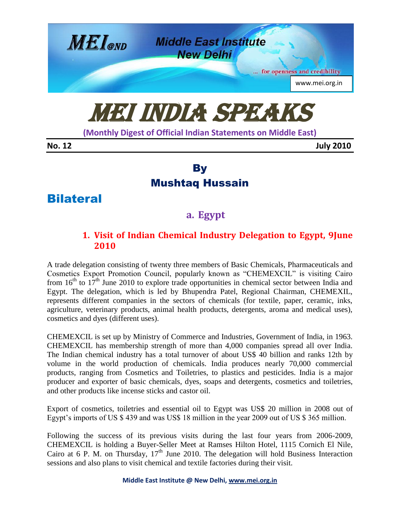

# MEI India Speaks

**(Monthly Digest of Official Indian Statements on Middle East)**

**No. 12 July 2010**

# **By** Mushtaq Hussain

# Bilateral

# **a. Egypt**

## **1. Visit of Indian Chemical Industry Delegation to Egypt, 9June 2010**

A trade delegation consisting of twenty three members of Basic Chemicals, Pharmaceuticals and Cosmetics Export Promotion Council, popularly known as "CHEMEXCIL" is visiting Cairo from  $16<sup>th</sup>$  to  $17<sup>th</sup>$  June 2010 to explore trade opportunities in chemical sector between India and Egypt. The delegation, which is led by Bhupendra Patel, Regional Chairman, CHEMEXIL, represents different companies in the sectors of chemicals (for textile, paper, ceramic, inks, agriculture, veterinary products, animal health products, detergents, aroma and medical uses), cosmetics and dyes (different uses).

CHEMEXCIL is set up by Ministry of Commerce and Industries, Government of India, in 1963. CHEMEXCIL has membership strength of more than 4,000 companies spread all over India. The Indian chemical industry has a total turnover of about US\$ 40 billion and ranks 12th by volume in the world production of chemicals. India produces nearly 70,000 commercial products, ranging from Cosmetics and Toiletries, to plastics and pesticides. India is a major producer and exporter of basic chemicals, dyes, soaps and detergents, cosmetics and toiletries, and other products like incense sticks and castor oil.

Export of cosmetics, toiletries and essential oil to Egypt was US\$ 20 million in 2008 out of Egypt's imports of US \$439 and was US\$18 million in the year 2009 out of US \$365 million.

Following the success of its previous visits during the last four years from 2006-2009, CHEMEXCIL is holding a Buyer-Seller Meet at Ramses Hilton Hotel, 1115 Cornich El Nile, Cairo at 6 P. M. on Thursday,  $17<sup>th</sup>$  June 2010. The delegation will hold Business Interaction sessions and also plans to visit chemical and textile factories during their visit.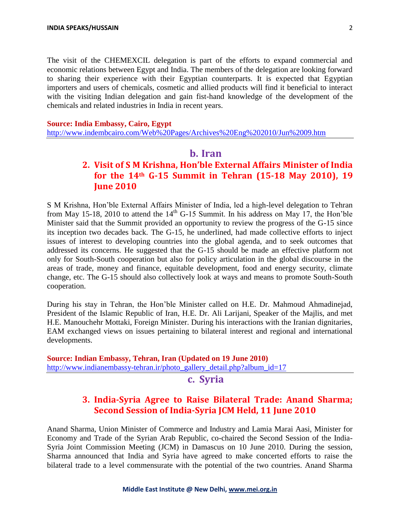The visit of the CHEMEXCIL delegation is part of the efforts to expand commercial and economic relations between Egypt and India. The members of the delegation are looking forward to sharing their experience with their Egyptian counterparts. It is expected that Egyptian importers and users of chemicals, cosmetic and allied products will find it beneficial to interact with the visiting Indian delegation and gain fist-hand knowledge of the development of the chemicals and related industries in India in recent years.

#### **Source: India Embassy, Cairo, Egypt**

<http://www.indembcairo.com/Web%20Pages/Archives%20Eng%202010/Jun%2009.htm>

#### **b. Iran**

## **2. Visit of S M Krishna, Hon'ble External Affairs Minister of India for the 14th G-15 Summit in Tehran (15-18 May 2010), 19 June 2010**

S M Krishna, Hon"ble External Affairs Minister of India, led a high-level delegation to Tehran from May 15-18, 2010 to attend the  $14<sup>th</sup>$  G-15 Summit. In his address on May 17, the Hon'ble Minister said that the Summit provided an opportunity to review the progress of the G-15 since its inception two decades back. The G-15, he underlined, had made collective efforts to inject issues of interest to developing countries into the global agenda, and to seek outcomes that addressed its concerns. He suggested that the G-15 should be made an effective platform not only for South-South cooperation but also for policy articulation in the global discourse in the areas of trade, money and finance, equitable development, food and energy security, climate change, etc. The G-15 should also collectively look at ways and means to promote South-South cooperation.

During his stay in Tehran, the Hon"ble Minister called on H.E. Dr. Mahmoud Ahmadinejad, President of the Islamic Republic of Iran, H.E. Dr. Ali Larijani, Speaker of the Majlis, and met H.E. Manouchehr Mottaki, Foreign Minister. During his interactions with the Iranian dignitaries, EAM exchanged views on issues pertaining to bilateral interest and regional and international developments.

**Source: Indian Embassy, Tehran, Iran (Updated on 19 June 2010)** [http://www.indianembassy-tehran.ir/photo\\_gallery\\_detail.php?album\\_id=17](http://www.indianembassy-tehran.ir/photo_gallery_detail.php?album_id=17)

#### **c. Syria**

## **3. India-Syria Agree to Raise Bilateral Trade: Anand Sharma; Second Session of India-Syria JCM Held, 11 June 2010**

Anand Sharma, Union Minister of Commerce and Industry and Lamia Marai Aasi, Minister for Economy and Trade of the Syrian Arab Republic, co-chaired the Second Session of the India-Syria Joint Commission Meeting (JCM) in Damascus on 10 June 2010. During the session, Sharma announced that India and Syria have agreed to make concerted efforts to raise the bilateral trade to a level commensurate with the potential of the two countries. Anand Sharma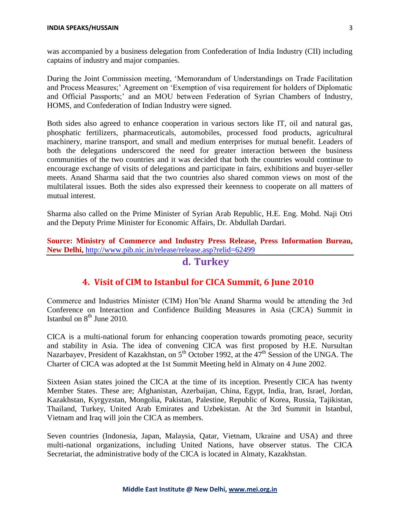was accompanied by a business delegation from Confederation of India Industry (CII) including captains of industry and major companies.

During the Joint Commission meeting, "Memorandum of Understandings on Trade Facilitation and Process Measures;" Agreement on "Exemption of visa requirement for holders of Diplomatic and Official Passports;" and an MOU between Federation of Syrian Chambers of Industry, HOMS, and Confederation of Indian Industry were signed.

Both sides also agreed to enhance cooperation in various sectors like IT, oil and natural gas, phosphatic fertilizers, pharmaceuticals, automobiles, processed food products, agricultural machinery, marine transport, and small and medium enterprises for mutual benefit. Leaders of both the delegations underscored the need for greater interaction between the business communities of the two countries and it was decided that both the countries would continue to encourage exchange of visits of delegations and participate in fairs, exhibitions and buyer-seller meets. Anand Sharma said that the two countries also shared common views on most of the multilateral issues. Both the sides also expressed their keenness to cooperate on all matters of mutual interest.

Sharma also called on the Prime Minister of Syrian Arab Republic, H.E. Eng. Mohd. Naji Otri and the Deputy Prime Minister for Economic Affairs, Dr. Abdullah Dardari.

**Source: Ministry of Commerce and Industry Press Release, Press Information Bureau, New Delhi,** <http://www.pib.nic.in/release/release.asp?relid=62499>

#### **d. Turkey**

#### **4. Visit of CIM to Istanbul for CICA Summit, 6 June 2010**

Commerce and Industries Minister (CIM) Hon"ble Anand Sharma would be attending the 3rd Conference on Interaction and Confidence Building Measures in Asia (CICA) Summit in Istanbul on  $8<sup>th</sup>$  June 2010.

CICA is a multi-national forum for enhancing cooperation towards promoting peace, security and stability in Asia. The idea of convening CICA was first proposed by H.E. Nursultan Nazarbayev, President of Kazakhstan, on  $5<sup>th</sup>$  October 1992, at the  $47<sup>th</sup>$  Session of the UNGA. The Charter of CICA was adopted at the 1st Summit Meeting held in Almaty on 4 June 2002.

Sixteen Asian states joined the CICA at the time of its inception. Presently CICA has twenty Member States. These are; Afghanistan, Azerbaijan, China, Egypt, India, Iran, Israel, Jordan, Kazakhstan, Kyrgyzstan, Mongolia, Pakistan, Palestine, Republic of Korea, Russia, Tajikistan, Thailand, Turkey, United Arab Emirates and Uzbekistan. At the 3rd Summit in Istanbul, Vietnam and Iraq will join the CICA as members.

Seven countries (Indonesia, Japan, Malaysia, Qatar, Vietnam, Ukraine and USA) and three multi-national organizations, including United Nations, have observer status. The CICA Secretariat, the administrative body of the CICA is located in Almaty, Kazakhstan.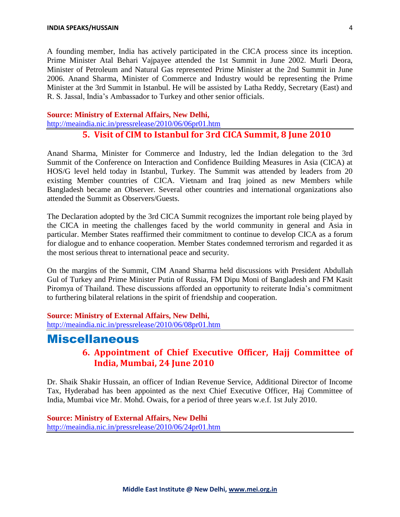A founding member, India has actively participated in the CICA process since its inception. Prime Minister Atal Behari Vajpayee attended the 1st Summit in June 2002. Murli Deora, Minister of Petroleum and Natural Gas represented Prime Minister at the 2nd Summit in June 2006. Anand Sharma, Minister of Commerce and Industry would be representing the Prime Minister at the 3rd Summit in Istanbul. He will be assisted by Latha Reddy, Secretary (East) and R. S. Jassal, India"s Ambassador to Turkey and other senior officials.

#### **Source: Ministry of External Affairs, New Delhi,**

<http://meaindia.nic.in/pressrelease/2010/06/06pr01.htm>

#### **5. Visit of CIM to Istanbul for 3rd CICA Summit, 8 June 2010**

Anand Sharma, Minister for Commerce and Industry, led the Indian delegation to the 3rd Summit of the Conference on Interaction and Confidence Building Measures in Asia (CICA) at HOS/G level held today in Istanbul, Turkey. The Summit was attended by leaders from 20 existing Member countries of CICA. Vietnam and Iraq joined as new Members while Bangladesh became an Observer. Several other countries and international organizations also attended the Summit as Observers/Guests.

The Declaration adopted by the 3rd CICA Summit recognizes the important role being played by the CICA in meeting the challenges faced by the world community in general and Asia in particular. Member States reaffirmed their commitment to continue to develop CICA as a forum for dialogue and to enhance cooperation. Member States condemned terrorism and regarded it as the most serious threat to international peace and security.

On the margins of the Summit, CIM Anand Sharma held discussions with President Abdullah Gul of Turkey and Prime Minister Putin of Russia, FM Dipu Moni of Bangladesh and FM Kasit Piromya of Thailand. These discussions afforded an opportunity to reiterate India"s commitment to furthering bilateral relations in the spirit of friendship and cooperation.

#### **Source: Ministry of External Affairs, New Delhi,**

<http://meaindia.nic.in/pressrelease/2010/06/08pr01.htm>

## **Miscellaneous**

## **6. Appointment of Chief Executive Officer, Hajj Committee of India, Mumbai, 24 June 2010**

Dr. Shaik Shakir Hussain, an officer of Indian Revenue Service, Additional Director of Income Tax, Hyderabad has been appointed as the next Chief Executive Officer, Haj Committee of India, Mumbai vice Mr. Mohd. Owais, for a period of three years w.e.f. 1st July 2010.

#### **Source: Ministry of External Affairs, New Delhi** <http://meaindia.nic.in/pressrelease/2010/06/24pr01.htm>